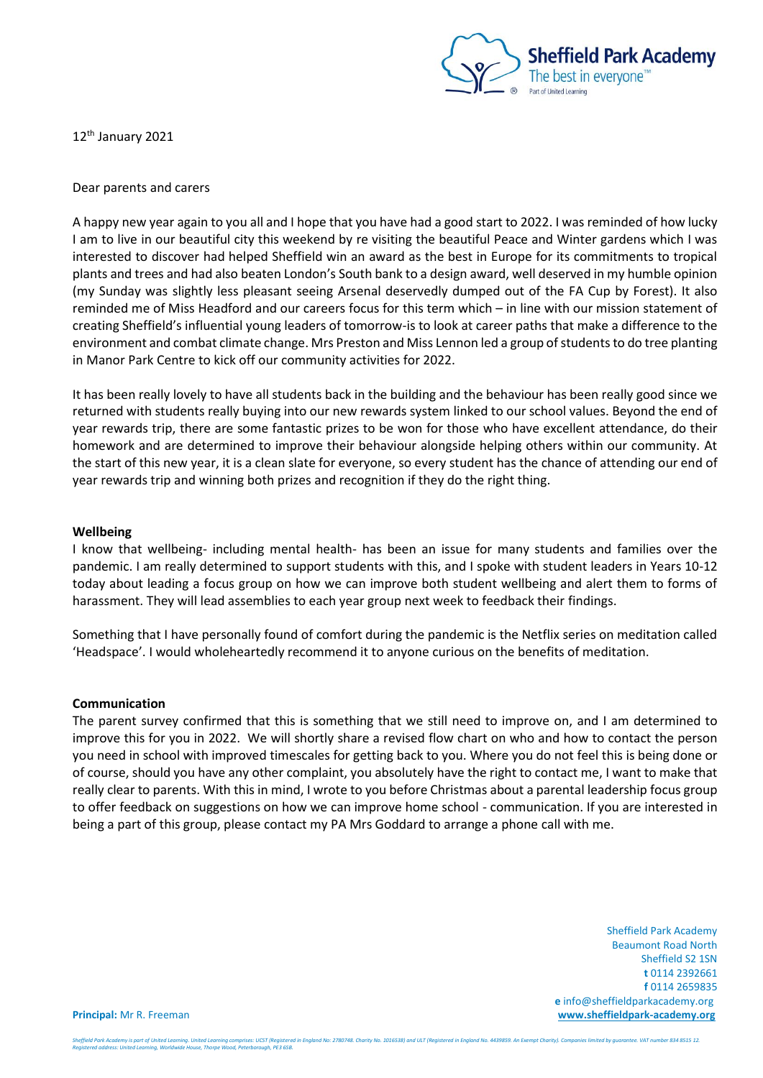

12<sup>th</sup> January 2021

Dear parents and carers

A happy new year again to you all and I hope that you have had a good start to 2022. I was reminded of how lucky I am to live in our beautiful city this weekend by re visiting the beautiful Peace and Winter gardens which I was interested to discover had helped Sheffield win an award as the best in Europe for its commitments to tropical plants and trees and had also beaten London's South bank to a design award, well deserved in my humble opinion (my Sunday was slightly less pleasant seeing Arsenal deservedly dumped out of the FA Cup by Forest). It also reminded me of Miss Headford and our careers focus for this term which – in line with our mission statement of creating Sheffield's influential young leaders of tomorrow-is to look at career paths that make a difference to the environment and combat climate change. Mrs Preston and Miss Lennon led a group of students to do tree planting in Manor Park Centre to kick off our community activities for 2022.

It has been really lovely to have all students back in the building and the behaviour has been really good since we returned with students really buying into our new rewards system linked to our school values. Beyond the end of year rewards trip, there are some fantastic prizes to be won for those who have excellent attendance, do their homework and are determined to improve their behaviour alongside helping others within our community. At the start of this new year, it is a clean slate for everyone, so every student has the chance of attending our end of year rewards trip and winning both prizes and recognition if they do the right thing.

## **Wellbeing**

I know that wellbeing- including mental health- has been an issue for many students and families over the pandemic. I am really determined to support students with this, and I spoke with student leaders in Years 10-12 today about leading a focus group on how we can improve both student wellbeing and alert them to forms of harassment. They will lead assemblies to each year group next week to feedback their findings.

Something that I have personally found of comfort during the pandemic is the Netflix series on meditation called 'Headspace'. I would wholeheartedly recommend it to anyone curious on the benefits of meditation.

## **Communication**

The parent survey confirmed that this is something that we still need to improve on, and I am determined to improve this for you in 2022. We will shortly share a revised flow chart on who and how to contact the person you need in school with improved timescales for getting back to you. Where you do not feel this is being done or of course, should you have any other complaint, you absolutely have the right to contact me, I want to make that really clear to parents. With this in mind, I wrote to you before Christmas about a parental leadership focus group to offer feedback on suggestions on how we can improve home school - communication. If you are interested in being a part of this group, please contact my PA Mrs Goddard to arrange a phone call with me.

 Sheffield Park Academy Beaumont Road North Sheffield S2 1SN **t** 0114 2392661 **f** 0114 2659835  **e** info@sheffieldparkacademy.org **Principal:** Mr R. Freeman **[www.sheffieldpark-academy.org](http://www.sheffieldpark-academy.org/)**